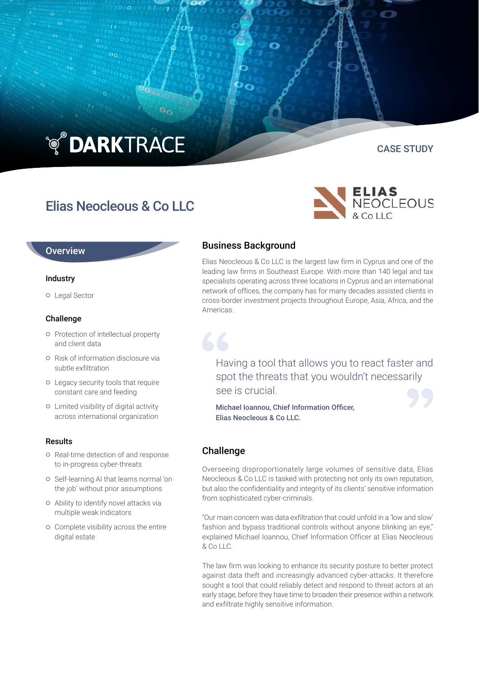# **TO DARKTRACE**

# Elias Neocleous & Co LLC

### **Overview**

#### Industry

o Legal Sector

#### Challenge

- **o** Protection of intellectual property and client data
- **o** Risk of information disclosure via subtle exfiltration
- **o** Legacy security tools that require constant care and feeding
- Limited visibility of digital activity across international organization

#### Results

- **o** Real-time detection of and response to in-progress cyber-threats
- o Self-learning AI that learns normal 'on the job' without prior assumptions
- Ability to identify novel attacks via multiple weak indicators
- **o** Complete visibility across the entire digital estate

# Business Background

Elias Neocleous & Co LLC is the largest law firm in Cyprus and one of the leading law firms in Southeast Europe. With more than 140 legal and tax specialists operating across three locations in Cyprus and an international network of offices, the company has for many decades assisted clients in cross-border investment projects throughout Europe, Asia, Africa, and the Americas.

Having a tool that allows you to react faster and spot the threats that you wouldn't necessarily see is crucial.

Michael Ioannou, Chief Information Officer, Elias Neocleous & Co LLC.

## Challenge

Overseeing disproportionately large volumes of sensitive data, Elias Neocleous & Co LLC is tasked with protecting not only its own reputation, but also the confidentiality and integrity of its clients' sensitive information from sophisticated cyber-criminals.

"Our main concern was data exfiltration that could unfold in a 'low and slow' fashion and bypass traditional controls without anyone blinking an eye," explained Michael Ioannou, Chief Information Officer at Elias Neocleous & Co LLC.

The law firm was looking to enhance its security posture to better protect against data theft and increasingly advanced cyber-attacks. It therefore sought a tool that could reliably detect and respond to threat actors at an early stage, before they have time to broaden their presence within a network and exfiltrate highly sensitive information.



CASE STUDY